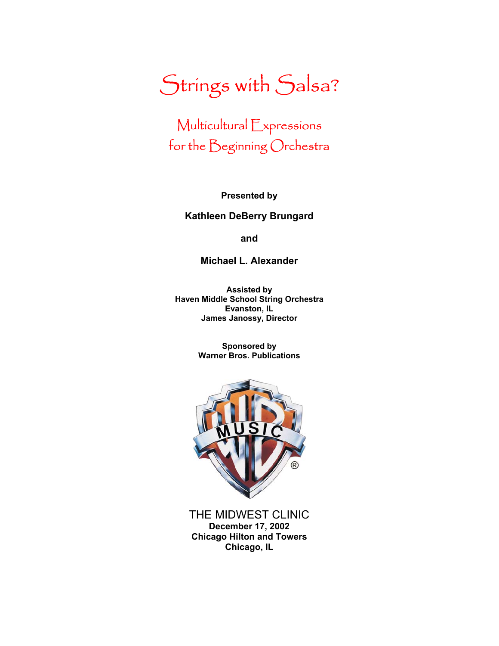# Strings with Salsa?

## Multicultural Expressions for the Beginning Orchestra

**Presented by** 

#### **Kathleen DeBerry Brungard**

**and** 

**Michael L. Alexander** 

**Assisted by Haven Middle School String Orchestra Evanston, IL James Janossy, Director** 

> **Sponsored by Warner Bros. Publications**



THE MIDWEST CLINIC **December 17, 2002 Chicago Hilton and Towers Chicago, IL**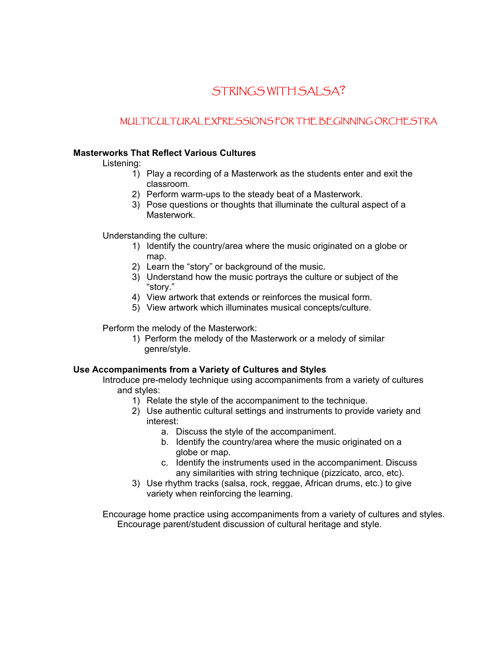### STRINGS WITH SALSA?

#### MULTICULTURAL EXPRESSIONS FOR THE BEGINNING ORCHESTRA

#### **Masterworks That Reflect Various Cultures**

Listening:

- 1) Play a recording of a Masterwork as the students enter and exit the classroom.
- 2) Perform warm-ups to the steady beat of a Masterwork.
- 3) Pose questions or thoughts that illuminate the cultural aspect of a Masterwork.

Understanding the culture:

- 1) Identify the country/area where the music originated on a globe or map.
- 2) Learn the "story" or background of the music.
- 3) Understand how the music portrays the culture or subject of the "story."
- 4) View artwork that extends or reinforces the musical form.
- 5) View artwork which illuminates musical concepts/culture.

Perform the melody of the Masterwork:

1) Perform the melody of the Masterwork or a melody of similar genre/style.

#### **Use Accompaniments from a Variety of Cultures and Styles**

Introduce pre-melody technique using accompaniments from a variety of cultures and styles:

- 1) Relate the style of the accompaniment to the technique.
- 2) Use authentic cultural settings and instruments to provide variety and interest:
	- a. Discuss the style of the accompaniment.
	- b. Identify the country/area where the music originated on a globe or map.
	- c. Identify the instruments used in the accompaniment. Discuss any similarities with string technique (pizzicato, arco, etc).
- 3) Use rhythm tracks (salsa, rock, reggae, African drums, etc.) to give variety when reinforcing the learning.

Encourage home practice using accompaniments from a variety of cultures and styles. Encourage parent/student discussion of cultural heritage and style.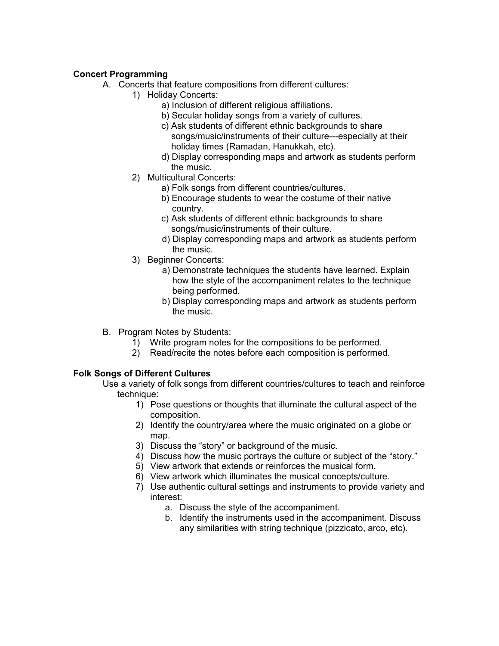#### **Concert Programming**

- A. Concerts that feature compositions from different cultures:
	- 1) Holiday Concerts:
		- a) Inclusion of different religious affiliations.
		- b) Secular holiday songs from a variety of cultures.
		- c) Ask students of different ethnic backgrounds to share songs/music/instruments of their culture---especially at their holiday times (Ramadan, Hanukkah, etc).
		- d) Display corresponding maps and artwork as students perform the music.
	- 2) Multicultural Concerts:
		- a) Folk songs from different countries/cultures.
		- b) Encourage students to wear the costume of their native country.
		- c) Ask students of different ethnic backgrounds to share songs/music/instruments of their culture.
		- d) Display corresponding maps and artwork as students perform the music.
	- 3) Beginner Concerts:
		- a) Demonstrate techniques the students have learned. Explain how the style of the accompaniment relates to the technique being performed.
		- b) Display corresponding maps and artwork as students perform the music.
- B. Program Notes by Students:
	- 1) Write program notes for the compositions to be performed.
	- 2) Read/recite the notes before each composition is performed.

#### **Folk Songs of Different Cultures**

Use a variety of folk songs from different countries/cultures to teach and reinforce technique:

- 1) Pose questions or thoughts that illuminate the cultural aspect of the composition.
- 2) Identify the country/area where the music originated on a globe or map.
- 3) Discuss the "story" or background of the music.
- 4) Discuss how the music portrays the culture or subject of the "story."
- 5) View artwork that extends or reinforces the musical form.
- 6) View artwork which illuminates the musical concepts/culture.
- 7) Use authentic cultural settings and instruments to provide variety and interest:
	- a. Discuss the style of the accompaniment.
	- b. Identify the instruments used in the accompaniment. Discuss any similarities with string technique (pizzicato, arco, etc).